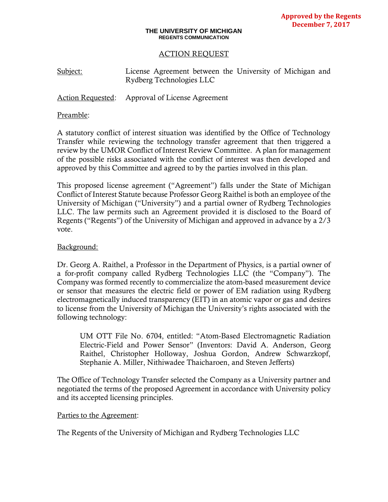#### **THE UNIVERSITY OF MICHIGAN REGENTS COMMUNICATION**

### ACTION REQUEST

Subject: License Agreement between the University of Michigan and Rydberg Technologies LLC

Action Requested: Approval of License Agreement

### Preamble:

A statutory conflict of interest situation was identified by the Office of Technology Transfer while reviewing the technology transfer agreement that then triggered a review by the UMOR Conflict of Interest Review Committee. A plan for management of the possible risks associated with the conflict of interest was then developed and approved by this Committee and agreed to by the parties involved in this plan.

This proposed license agreement ("Agreement") falls under the State of Michigan Conflict of Interest Statute because Professor Georg Raithel is both an employee of the University of Michigan ("University") and a partial owner of Rydberg Technologies LLC. The law permits such an Agreement provided it is disclosed to the Board of Regents ("Regents") of the University of Michigan and approved in advance by a 2/3 vote.

## Background:

Dr. Georg A. Raithel, a Professor in the Department of Physics, is a partial owner of a for-profit company called Rydberg Technologies LLC (the "Company"). The Company was formed recently to commercialize the atom-based measurement device or sensor that measures the electric field or power of EM radiation using Rydberg electromagnetically induced transparency (EIT) in an atomic vapor or gas and desires to license from the University of Michigan the University's rights associated with the following technology:

UM OTT File No. 6704, entitled: "Atom-Based Electromagnetic Radiation Electric-Field and Power Sensor" (Inventors: David A. Anderson, Georg Raithel, Christopher Holloway, Joshua Gordon, Andrew Schwarzkopf, Stephanie A. Miller, Nithiwadee Thaicharoen, and Steven Jefferts)

The Office of Technology Transfer selected the Company as a University partner and negotiated the terms of the proposed Agreement in accordance with University policy and its accepted licensing principles.

### Parties to the Agreement:

The Regents of the University of Michigan and Rydberg Technologies LLC